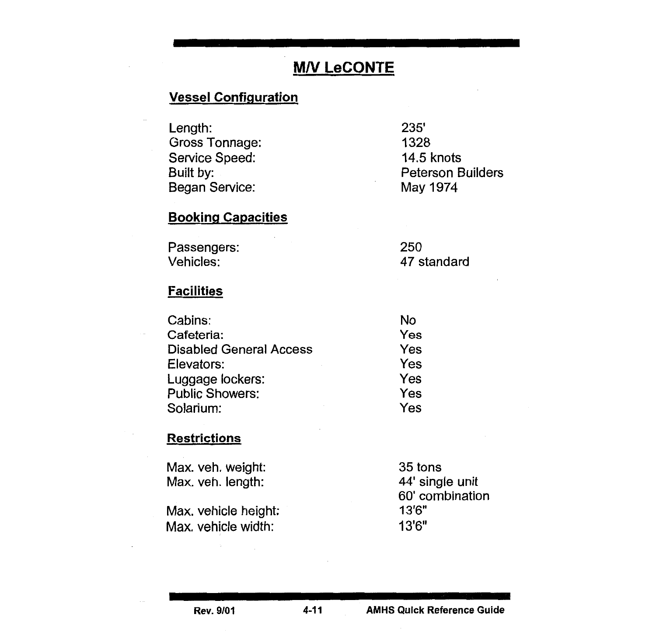# **M/V LeCONTE**

# Vessel Configuration

| Length:        | 235'                     |
|----------------|--------------------------|
| Gross Tonnage: | 1328                     |
| Service Speed: | 14.5 knots               |
| Built by:      | <b>Peterson Builders</b> |
| Began Service: | May 1974                 |
|                |                          |

## Booking Capacities

| Passengers: | 250         |
|-------------|-------------|
| Vehicles:   | 47 standard |

#### **Facilities**

| Cabins:                        | No  |
|--------------------------------|-----|
| Cafeteria:                     | Yes |
| <b>Disabled General Access</b> | Yes |
| Elevators:                     | Yes |
| Luggage lockers:               | Yes |
| <b>Public Showers:</b>         | Yes |
| Solarium:                      | Yes |

### **Restrictions**

| Max. veh. weight:    | 35 tons         |
|----------------------|-----------------|
| Max. veh. length:    | 44' single unit |
|                      | 60' combination |
| Max. vehicle height: | 13'6"           |
| Max. vehicle width:  | 13'6''          |